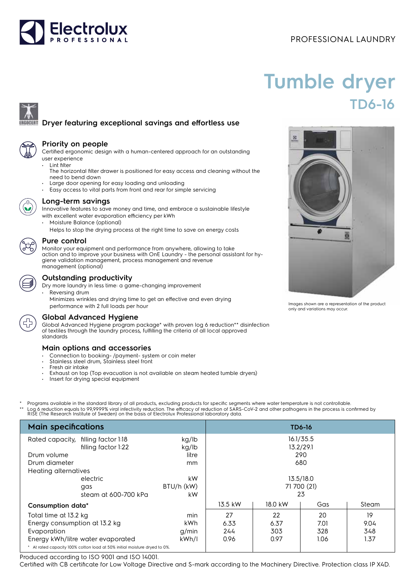# **Electrolux**

## PROFESSIONAL LAUNDRY

# **Tumble dryer TD6-16**

### **Dryer featuring exceptional savings and effortless use**



#### **Priority on people**

Certified ergonomic design with a human-centered approach for an outstanding user experience

- Lint filter The horizontal filter drawer is positioned for easy access and cleaning without the need to bend down
- Large door opening for easy loading and unloading
- Easy access to vital parts from front and rear for simple servicing



#### **Long-term savings**

Innovative features to save money and time, and embrace a sustainable lifestyle with excellent water evaporation efficiency per kWh

• Moisture Balance (optional)

Helps to stop the drying process at the right time to save on energy costs

#### **Pure control**

Monitor your equipment and performance from anywhere, allowing to take action and to improve your business with OnE Laundry - the personal assistant for hygiene validation management, process management and revenue management (optional)

#### **Outstanding productivity**

Dry more laundry in less time: a game-changing improvement

Reversing drum Minimizes wrinkles and drying time to get an effective and even drying performance with 2 full loads per hour

#### **Global Advanced Hygiene**

Global Advanced Hygiene program package\* with proven log 6 reduction\*\* disinfection of textiles through the laundry process, fulfilling the criteria of all local approved standards

#### **Main options and accessories**

- Connection to booking- /payment- system or coin meter
- Stainless steel drum, Stainless steel front
- Fresh air intake
- Exhaust on top (Top evacuation is not available on steam heated tumble dryers)
- Insert for drying special equipment
- Programs available in the standard library of all products, excluding products for specific segments where water temperature is not controllable. \*\* Log 6 reduction equals to 99,9999% viral infectivity reduction. The efficacy of reduction of SARS-CoV-2 and other pathogens in the process is confirmed by<br>RISE (The Research Institute of Sweden) on the basis of Electrol

| <b>Main specifications</b>                                                |                                                            |                | <b>TD6-16</b> |      |                        |      |
|---------------------------------------------------------------------------|------------------------------------------------------------|----------------|---------------|------|------------------------|------|
|                                                                           | Rated capacity, filling factor 1:18<br>filling factor 1:22 | kg/lb<br>kg/lb |               |      | 16.1/35.5<br>13.2/29.1 |      |
| Drum volume                                                               |                                                            | litre          |               |      | 290                    |      |
| Drum diameter                                                             |                                                            | mm             |               |      | 680                    |      |
| Heating alternatives                                                      |                                                            |                |               |      |                        |      |
|                                                                           | electric                                                   | kW             |               |      | 13.5/18.0              |      |
|                                                                           | qas                                                        | BTU/h (kW)     |               |      | 71 700 (21)            |      |
|                                                                           | steam at 600-700 kPa                                       | kW             |               |      | 23                     |      |
| Consumption data*                                                         |                                                            | 13.5 kW        | 18.0 kW       | Gas  | Steam                  |      |
| Total time at 13.2 kg                                                     |                                                            | min            | 27            | 22   | 20                     | 19   |
| Energy consumption at 13.2 kg                                             |                                                            | kWh            | 6.33          | 6.37 | 7.01                   | 9.04 |
| Evaporation                                                               |                                                            | g/min          | 244           | 303  | 328                    | 348  |
| Energy kWh/litre water evaporated                                         |                                                            | kWh/l          | 0.96          | 0.97 | 1.06                   | 1.37 |
| * At rated capacity 100% cotton load at 50% initial moisture dryed to 0%. |                                                            |                |               |      |                        |      |

Produced according to ISO 9001 and ISO 14001.

Certified with CB certificate for Low Voltage Directive and S-mark according to the Machinery Directive. Protection class IP X4D.



Images shown are a representation of the product only and variations may occur.